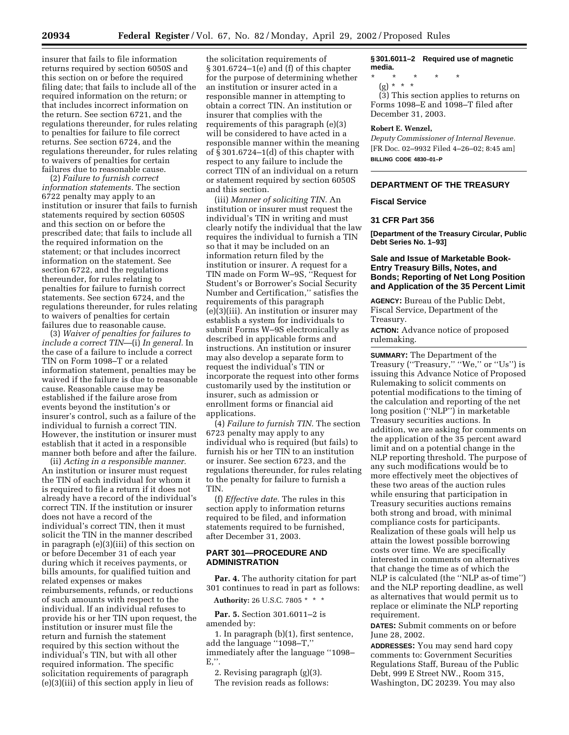insurer that fails to file information returns required by section 6050S and this section on or before the required filing date; that fails to include all of the required information on the return; or that includes incorrect information on the return. See section 6721, and the regulations thereunder, for rules relating to penalties for failure to file correct returns. See section 6724, and the regulations thereunder, for rules relating to waivers of penalties for certain failures due to reasonable cause.

(2) *Failure to furnish correct information statements.* The section 6722 penalty may apply to an institution or insurer that fails to furnish statements required by section 6050S and this section on or before the prescribed date; that fails to include all the required information on the statement; or that includes incorrect information on the statement. See section 6722, and the regulations thereunder, for rules relating to penalties for failure to furnish correct statements. See section 6724, and the regulations thereunder, for rules relating to waivers of penalties for certain failures due to reasonable cause.

(3) *Waiver of penalties for failures to include a correct TIN*—(i) *In general.* In the case of a failure to include a correct TIN on Form 1098–T or a related information statement, penalties may be waived if the failure is due to reasonable cause. Reasonable cause may be established if the failure arose from events beyond the institution's or insurer's control, such as a failure of the individual to furnish a correct TIN. However, the institution or insurer must establish that it acted in a responsible manner both before and after the failure.

(ii) *Acting in a responsible manner.* An institution or insurer must request the TIN of each individual for whom it is required to file a return if it does not already have a record of the individual's correct TIN. If the institution or insurer does not have a record of the individual's correct TIN, then it must solicit the TIN in the manner described in paragraph (e)(3)(iii) of this section on or before December 31 of each year during which it receives payments, or bills amounts, for qualified tuition and related expenses or makes reimbursements, refunds, or reductions of such amounts with respect to the individual. If an individual refuses to provide his or her TIN upon request, the institution or insurer must file the return and furnish the statement required by this section without the individual's TIN, but with all other required information. The specific solicitation requirements of paragraph (e)(3)(iii) of this section apply in lieu of

the solicitation requirements of § 301.6724–1(e) and (f) of this chapter for the purpose of determining whether an institution or insurer acted in a responsible manner in attempting to obtain a correct TIN. An institution or insurer that complies with the requirements of this paragraph (e)(3) will be considered to have acted in a responsible manner within the meaning of  $\S$  301.6724–1(d) of this chapter with respect to any failure to include the correct TIN of an individual on a return or statement required by section 6050S and this section.

(iii) *Manner of soliciting TIN.* An institution or insurer must request the individual's TIN in writing and must clearly notify the individual that the law requires the individual to furnish a TIN so that it may be included on an information return filed by the institution or insurer. A request for a TIN made on Form W–9S, ''Request for Student's or Borrower's Social Security Number and Certification,'' satisfies the requirements of this paragraph (e)(3)(iii). An institution or insurer may establish a system for individuals to submit Forms W–9S electronically as described in applicable forms and instructions. An institution or insurer may also develop a separate form to request the individual's TIN or incorporate the request into other forms customarily used by the institution or insurer, such as admission or enrollment forms or financial aid applications.

(4) *Failure to furnish TIN.* The section 6723 penalty may apply to any individual who is required (but fails) to furnish his or her TIN to an institution or insurer. See section 6723, and the regulations thereunder, for rules relating to the penalty for failure to furnish a TIN.

(f) *Effective date.* The rules in this section apply to information returns required to be filed, and information statements required to be furnished, after December 31, 2003.

### **PART 301—PROCEDURE AND ADMINISTRATION**

**Par. 4.** The authority citation for part 301 continues to read in part as follows:

**Authority:** 26 U.S.C. 7805 \* \* \*

**Par. 5.** Section 301.6011–2 is amended by:

1. In paragraph (b)(1), first sentence, add the language ''1098–T,'' immediately after the language ''1098– E,''.

2. Revising paragraph (g)(3). The revision reads as follows:

**§ 301.6011–2 Required use of magnetic media.**

- \* \* \* \* \*
	- (g) \* \* \*

(3) This section applies to returns on Forms 1098–E and 1098–T filed after December 31, 2003.

## **Robert E. Wenzel,**

*Deputy Commissioner of Internal Revenue.* [FR Doc. 02–9932 Filed 4–26–02; 8:45 am] **BILLING CODE 4830–01–P**

## **DEPARTMENT OF THE TREASURY**

### **Fiscal Service**

### **31 CFR Part 356**

**[Department of the Treasury Circular, Public Debt Series No. 1–93]**

## **Sale and Issue of Marketable Book-Entry Treasury Bills, Notes, and Bonds; Reporting of Net Long Position and Application of the 35 Percent Limit**

**AGENCY:** Bureau of the Public Debt, Fiscal Service, Department of the Treasury.

**ACTION:** Advance notice of proposed rulemaking.

**SUMMARY:** The Department of the Treasury ("Treasury," "We," or "Us") is issuing this Advance Notice of Proposed Rulemaking to solicit comments on potential modifications to the timing of the calculation and reporting of the net long position (''NLP'') in marketable Treasury securities auctions. In addition, we are asking for comments on the application of the 35 percent award limit and on a potential change in the NLP reporting threshold. The purpose of any such modifications would be to more effectively meet the objectives of these two areas of the auction rules while ensuring that participation in Treasury securities auctions remains both strong and broad, with minimal compliance costs for participants. Realization of these goals will help us attain the lowest possible borrowing costs over time. We are specifically interested in comments on alternatives that change the time as of which the NLP is calculated (the ''NLP as-of time'') and the NLP reporting deadline, as well as alternatives that would permit us to replace or eliminate the NLP reporting requirement.

**DATES:** Submit comments on or before June 28, 2002.

**ADDRESSES:** You may send hard copy comments to: Government Securities Regulations Staff, Bureau of the Public Debt, 999 E Street NW., Room 315, Washington, DC 20239. You may also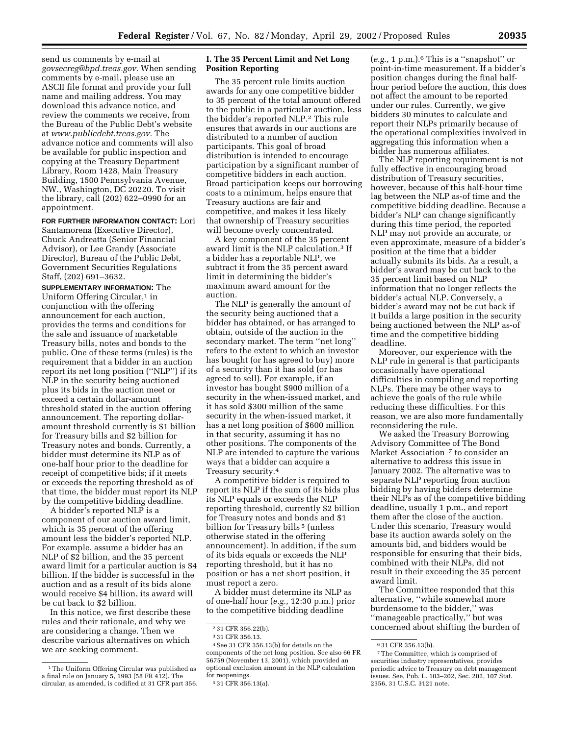send us comments by e-mail at *govsecreg@bpd.treas.gov.* When sending comments by e-mail, please use an ASCII file format and provide your full name and mailing address. You may download this advance notice, and review the comments we receive, from the Bureau of the Public Debt's website at *www.publicdebt.treas.gov.* The advance notice and comments will also be available for public inspection and copying at the Treasury Department Library, Room 1428, Main Treasury Building, 1500 Pennsylvania Avenue, NW., Washington, DC 20220. To visit the library, call (202) 622–0990 for an

# **FOR FURTHER INFORMATION CONTACT:** Lori

appointment.

Santamorena (Executive Director), Chuck Andreatta (Senior Financial Advisor), or Lee Grandy (Associate Director), Bureau of the Public Debt, Government Securities Regulations Staff, (202) 691–3632.

**SUPPLEMENTARY INFORMATION:** The Uniform Offering Circular,<sup>1</sup> in conjunction with the offering announcement for each auction, provides the terms and conditions for the sale and issuance of marketable Treasury bills, notes and bonds to the public. One of these terms (rules) is the requirement that a bidder in an auction report its net long position (''NLP'') if its NLP in the security being auctioned plus its bids in the auction meet or exceed a certain dollar-amount threshold stated in the auction offering announcement. The reporting dollaramount threshold currently is \$1 billion for Treasury bills and \$2 billion for Treasury notes and bonds. Currently, a bidder must determine its NLP as of one-half hour prior to the deadline for receipt of competitive bids; if it meets or exceeds the reporting threshold as of that time, the bidder must report its NLP by the competitive bidding deadline.

A bidder's reported NLP is a component of our auction award limit, which is 35 percent of the offering amount less the bidder's reported NLP. For example, assume a bidder has an NLP of \$2 billion, and the 35 percent award limit for a particular auction is \$4 billion. If the bidder is successful in the auction and as a result of its bids alone would receive \$4 billion, its award will be cut back to \$2 billion.

In this notice, we first describe these rules and their rationale, and why we are considering a change. Then we describe various alternatives on which we are seeking comment.

The 35 percent rule limits auction awards for any one competitive bidder to 35 percent of the total amount offered to the public in a particular auction, less the bidder's reported NLP.2 This rule ensures that awards in our auctions are distributed to a number of auction participants. This goal of broad distribution is intended to encourage participation by a significant number of competitive bidders in each auction. Broad participation keeps our borrowing costs to a minimum, helps ensure that Treasury auctions are fair and competitive, and makes it less likely that ownership of Treasury securities will become overly concentrated.

A key component of the 35 percent award limit is the NLP calculation.3 If a bidder has a reportable NLP, we subtract it from the 35 percent award limit in determining the bidder's maximum award amount for the auction.

The NLP is generally the amount of the security being auctioned that a bidder has obtained, or has arranged to obtain, outside of the auction in the secondary market. The term ''net long'' refers to the extent to which an investor has bought (or has agreed to buy) more of a security than it has sold (or has agreed to sell). For example, if an investor has bought \$900 million of a security in the when-issued market, and it has sold \$300 million of the same security in the when-issued market, it has a net long position of \$600 million in that security, assuming it has no other positions. The components of the NLP are intended to capture the various ways that a bidder can acquire a Treasury security.4

A competitive bidder is required to report its NLP if the sum of its bids plus its NLP equals or exceeds the NLP reporting threshold, currently \$2 billion for Treasury notes and bonds and \$1 billion for Treasury bills<sup>5</sup> (unless otherwise stated in the offering announcement). In addition, if the sum of its bids equals or exceeds the NLP reporting threshold, but it has no position or has a net short position, it must report a zero.

A bidder must determine its NLP as of one-half hour (*e.g.,* 12:30 p.m.) prior to the competitive bidding deadline

(*e.g.,* 1 p.m.).6 This is a ''snapshot'' or point-in-time measurement. If a bidder's position changes during the final halfhour period before the auction, this does not affect the amount to be reported under our rules. Currently, we give bidders 30 minutes to calculate and report their NLPs primarily because of the operational complexities involved in aggregating this information when a bidder has numerous affiliates.

The NLP reporting requirement is not fully effective in encouraging broad distribution of Treasury securities, however, because of this half-hour time lag between the NLP as-of time and the competitive bidding deadline. Because a bidder's NLP can change significantly during this time period, the reported NLP may not provide an accurate, or even approximate, measure of a bidder's position at the time that a bidder actually submits its bids. As a result, a bidder's award may be cut back to the 35 percent limit based on NLP information that no longer reflects the bidder's actual NLP. Conversely, a bidder's award may not be cut back if it builds a large position in the security being auctioned between the NLP as-of time and the competitive bidding deadline.

Moreover, our experience with the NLP rule in general is that participants occasionally have operational difficulties in compiling and reporting NLPs. There may be other ways to achieve the goals of the rule while reducing these difficulties. For this reason, we are also more fundamentally reconsidering the rule.

We asked the Treasury Borrowing Advisory Committee of The Bond Market Association 7 to consider an alternative to address this issue in January 2002. The alternative was to separate NLP reporting from auction bidding by having bidders determine their NLPs as of the competitive bidding deadline, usually 1 p.m., and report them after the close of the auction. Under this scenario, Treasury would base its auction awards solely on the amounts bid, and bidders would be responsible for ensuring that their bids, combined with their NLPs, did not result in their exceeding the 35 percent award limit.

The Committee responded that this alternative, ''while somewhat more burdensome to the bidder,'' was ''manageable practically,'' but was concerned about shifting the burden of

<sup>1</sup>The Uniform Offering Circular was published as a final rule on January 5, 1993 (58 FR 412). The circular, as amended, is codified at 31 CFR part 356.

**I. The 35 Percent Limit and Net Long Position Reporting** 

<sup>2</sup> 31 CFR 356.22(b).

<sup>3</sup> 31 CFR 356.13.

<sup>4</sup>See 31 CFR 356.13(b) for details on the components of the net long position. See also 66 FR 56759 (November 13, 2001), which provided an optional exclusion amount in the NLP calculation for reopenings.

<sup>5</sup> 31 CFR 356.13(a).

<sup>6</sup> 31 CFR 356.13(b).

<sup>7</sup>The Committee, which is comprised of securities industry representatives, provides periodic advice to Treasury on debt management issues. See, Pub. L. 103–202, Sec. 202, 107 Stat. 2356, 31 U.S.C. 3121 note.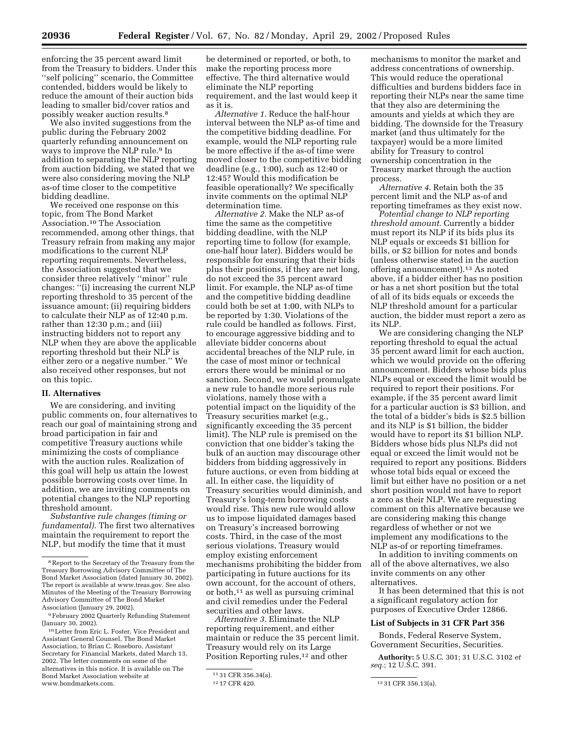enforcing the 35 percent award limit from the Treasury to bidders. Under this ''self policing'' scenario, the Committee contended, bidders would be likely to reduce the amount of their auction bids leading to smaller bid/cover ratios and possibly weaker auction results.8

We also invited suggestions from the public during the February 2002 quarterly refunding announcement on ways to improve the NLP rule.9 In addition to separating the NLP reporting from auction bidding, we stated that we were also considering moving the NLP as-of time closer to the competitive bidding deadline.

We received one response on this topic, from The Bond Market Association.10 The Association recommended, among other things, that Treasury refrain from making any major modifications to the current NLP reporting requirements. Nevertheless, the Association suggested that we consider three relatively ''minor'' rule changes: ''(i) increasing the current NLP reporting threshold to 35 percent of the issuance amount; (ii) requiring bidders to calculate their NLP as of 12:40 p.m. rather than 12:30 p.m.; and (iii) instructing bidders not to report any NLP when they are above the applicable reporting threshold but their NLP is either zero or a negative number.'' We also received other responses, but not on this topic.

### **II. Alternatives**

We are considering, and inviting public comments on, four alternatives to reach our goal of maintaining strong and broad participation in fair and competitive Treasury auctions while minimizing the costs of compliance with the auction rules. Realization of this goal will help us attain the lowest possible borrowing costs over time. In addition, we are inviting comments on potential changes to the NLP reporting threshold amount.

*Substantive rule changes (timing or fundamental).* The first two alternatives maintain the requirement to report the NLP, but modify the time that it must

be determined or reported, or both, to make the reporting process more effective. The third alternative would eliminate the NLP reporting requirement, and the last would keep it as it is.

*Alternative 1.* Reduce the half-hour interval between the NLP as-of time and the competitive bidding deadline. For example, would the NLP reporting rule be more effective if the as-of time were moved closer to the competitive bidding deadline (e.g., 1:00), such as 12:40 or 12:45? Would this modification be feasible operationally? We specifically invite comments on the optimal NLP determination time.

*Alternative 2.* Make the NLP as-of time the same as the competitive bidding deadline, with the NLP reporting time to follow (for example, one-half hour later). Bidders would be responsible for ensuring that their bids plus their positions, if they are net long, do not exceed the 35 percent award limit. For example, the NLP as-of time and the competitive bidding deadline could both be set at 1:00, with NLPs to be reported by 1:30. Violations of the rule could be handled as follows. First, to encourage aggressive bidding and to alleviate bidder concerns about accidental breaches of the NLP rule, in the case of most minor or technical errors there would be minimal or no sanction. Second, we would promulgate a new rule to handle more serious rule violations, namely those with a potential impact on the liquidity of the Treasury securities market (e.g., significantly exceeding the 35 percent limit). The NLP rule is premised on the conviction that one bidder's taking the bulk of an auction may discourage other bidders from bidding aggressively in future auctions, or even from bidding at all. In either case, the liquidity of Treasury securities would diminish, and Treasury's long-term borrowing costs would rise. This new rule would allow us to impose liquidated damages based on Treasury's increased borrowing costs. Third, in the case of the most serious violations, Treasury would employ existing enforcement mechanisms prohibiting the bidder from participating in future auctions for its own account, for the account of others, or both,11 as well as pursuing criminal and civil remedies under the Federal securities and other laws.

*Alternative 3.* Eliminate the NLP reporting requirement, and either maintain or reduce the 35 percent limit. Treasury would rely on its Large Position Reporting rules,<sup>12</sup> and other

mechanisms to monitor the market and address concentrations of ownership. This would reduce the operational difficulties and burdens bidders face in reporting their NLPs near the same time that they also are determining the amounts and yields at which they are bidding. The downside for the Treasury market (and thus ultimately for the taxpayer) would be a more limited ability for Treasury to control ownership concentration in the Treasury market through the auction process.

*Alternative 4.* Retain both the 35 percent limit and the NLP as-of and reporting timeframes as they exist now.

*Potential change to NLP reporting threshold amount*. Currently a bidder must report its NLP if its bids plus its NLP equals or exceeds \$1 billion for bills, or \$2 billion for notes and bonds (unless otherwise stated in the auction offering announcement).13 As noted above, if a bidder either has no position or has a net short position but the total of all of its bids equals or exceeds the NLP threshold amount for a particular auction, the bidder must report a zero as its NLP.

We are considering changing the NLP reporting threshold to equal the actual 35 percent award limit for each auction, which we would provide on the offering announcement. Bidders whose bids plus NLPs equal or exceed the limit would be required to report their positions. For example, if the 35 percent award limit for a particular auction is \$3 billion, and the total of a bidder's bids is \$2.5 billion and its NLP is \$1 billion, the bidder would have to report its \$1 billion NLP. Bidders whose bids plus NLPs did not equal or exceed the limit would not be required to report any positions. Bidders whose total bids equal or exceed the limit but either have no position or a net short position would not have to report a zero as their NLP. We are requesting comment on this alternative because we are considering making this change regardless of whether or not we implement any modifications to the NLP as-of or reporting timeframes.

In addition to inviting comments on all of the above alternatives, we also invite comments on any other alternatives.

It has been determined that this is not a significant regulatory action for purposes of Executive Order 12866.

#### **List of Subjects in 31 CFR Part 356**

Bonds, Federal Reserve System, Government Securities, Securities.

**Authority:** 5 U.S.C. 301; 31 U.S.C. 3102 *et seq.*; 12 U.S.C. 391.

<sup>8</sup>Report to the Secretary of the Treasury from the Treasury Borrowing Advisory Committee of The Bond Market Association (dated January 30, 2002). The report is available at www.treas.gov. See also Minutes of the Meeting of the Treasury Borrowing Advisory Committee of The Bond Market Association (January 29, 2002).

<sup>9</sup>February 2002 Quarterly Refunding Statement (January 30, 2002).

<sup>10</sup>Letter from Eric L. Foster, Vice President and Assistant General Counsel, The Bond Market Association, to Brian C. Roseboro, Assistant Secretary for Financial Markets, dated March 13, 2002. The letter comments on some of the alternatives in this notice. It is available on The Bond Market Association website at www.bondmarkets.com.

<sup>11 31</sup> CFR 356.34(a).<br>12 17 CFR 420.

<sup>13 31</sup> CFR 356.13(a).